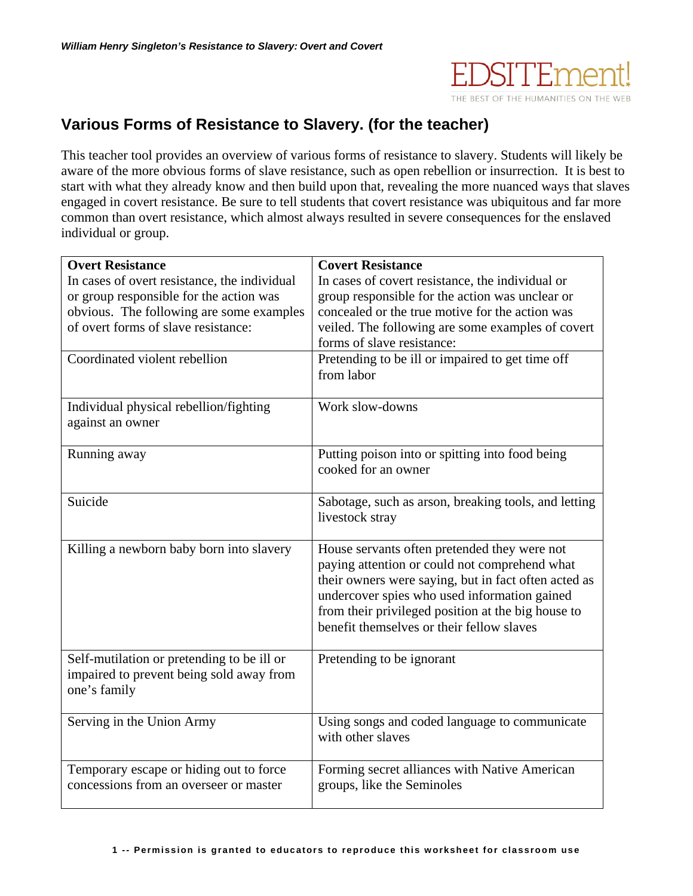

## **Various Forms of Resistance to Slavery. (for the teacher)**

This teacher tool provides an overview of various forms of resistance to slavery. Students will likely be aware of the more obvious forms of slave resistance, such as open rebellion or insurrection. It is best to start with what they already know and then build upon that, revealing the more nuanced ways that slaves engaged in covert resistance. Be sure to tell students that covert resistance was ubiquitous and far more common than overt resistance, which almost always resulted in severe consequences for the enslaved individual or group.

| <b>Overt Resistance</b>                      | <b>Covert Resistance</b>                                               |
|----------------------------------------------|------------------------------------------------------------------------|
| In cases of overt resistance, the individual | In cases of covert resistance, the individual or                       |
| or group responsible for the action was      | group responsible for the action was unclear or                        |
| obvious. The following are some examples     | concealed or the true motive for the action was                        |
| of overt forms of slave resistance:          | veiled. The following are some examples of covert                      |
|                                              | forms of slave resistance:                                             |
| Coordinated violent rebellion                | Pretending to be ill or impaired to get time off                       |
|                                              | from labor                                                             |
|                                              |                                                                        |
| Individual physical rebellion/fighting       | Work slow-downs                                                        |
| against an owner                             |                                                                        |
|                                              |                                                                        |
| Running away                                 | Putting poison into or spitting into food being<br>cooked for an owner |
|                                              |                                                                        |
| Suicide                                      | Sabotage, such as arson, breaking tools, and letting                   |
|                                              | livestock stray                                                        |
|                                              |                                                                        |
| Killing a newborn baby born into slavery     | House servants often pretended they were not                           |
|                                              | paying attention or could not comprehend what                          |
|                                              | their owners were saying, but in fact often acted as                   |
|                                              | undercover spies who used information gained                           |
|                                              | from their privileged position at the big house to                     |
|                                              | benefit themselves or their fellow slaves                              |
|                                              |                                                                        |
| Self-mutilation or pretending to be ill or   | Pretending to be ignorant                                              |
| impaired to prevent being sold away from     |                                                                        |
| one's family                                 |                                                                        |
|                                              |                                                                        |
| Serving in the Union Army                    | Using songs and coded language to communicate                          |
|                                              | with other slaves                                                      |
| Temporary escape or hiding out to force      | Forming secret alliances with Native American                          |
| concessions from an overseer or master       | groups, like the Seminoles                                             |
|                                              |                                                                        |